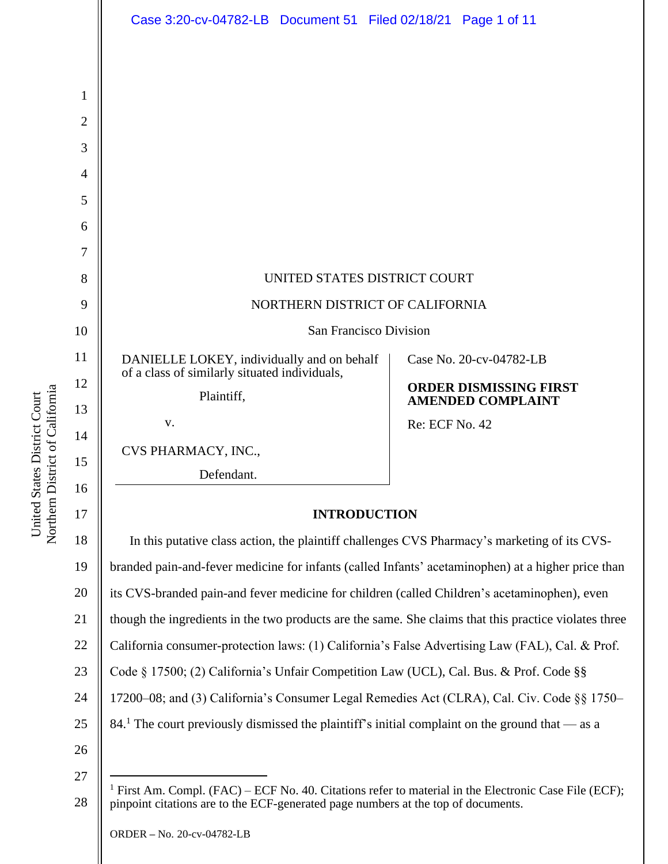|                | Case 3:20-cv-04782-LB  Document 51  Filed 02/18/21  Page 1 of 11                                                                                                                                      |                                                           |  |  |  |
|----------------|-------------------------------------------------------------------------------------------------------------------------------------------------------------------------------------------------------|-----------------------------------------------------------|--|--|--|
|                |                                                                                                                                                                                                       |                                                           |  |  |  |
|                |                                                                                                                                                                                                       |                                                           |  |  |  |
| $\mathbf 1$    |                                                                                                                                                                                                       |                                                           |  |  |  |
| $\overline{2}$ |                                                                                                                                                                                                       |                                                           |  |  |  |
| 3              |                                                                                                                                                                                                       |                                                           |  |  |  |
| 4              |                                                                                                                                                                                                       |                                                           |  |  |  |
| 5              |                                                                                                                                                                                                       |                                                           |  |  |  |
| 6              |                                                                                                                                                                                                       |                                                           |  |  |  |
| 7              |                                                                                                                                                                                                       |                                                           |  |  |  |
| 8              | UNITED STATES DISTRICT COURT                                                                                                                                                                          |                                                           |  |  |  |
| 9              | NORTHERN DISTRICT OF CALIFORNIA                                                                                                                                                                       |                                                           |  |  |  |
| 10             | San Francisco Division                                                                                                                                                                                |                                                           |  |  |  |
| 11             | DANIELLE LOKEY, individually and on behalf<br>of a class of similarly situated individuals,                                                                                                           | Case No. 20-cv-04782-LB                                   |  |  |  |
| 12             | Plaintiff,                                                                                                                                                                                            | <b>ORDER DISMISSING FIRST</b><br><b>AMENDED COMPLAINT</b> |  |  |  |
| 13             | V.                                                                                                                                                                                                    | <b>Re: ECF No. 42</b>                                     |  |  |  |
| 14             | CVS PHARMACY, INC.,                                                                                                                                                                                   |                                                           |  |  |  |
| 15             | Defendant.                                                                                                                                                                                            |                                                           |  |  |  |
| 16<br>17       |                                                                                                                                                                                                       |                                                           |  |  |  |
| 18             | <b>INTRODUCTION</b>                                                                                                                                                                                   |                                                           |  |  |  |
| 19             | In this putative class action, the plaintiff challenges CVS Pharmacy's marketing of its CVS-                                                                                                          |                                                           |  |  |  |
| 20             | branded pain-and-fever medicine for infants (called Infants' acetaminophen) at a higher price than<br>its CVS-branded pain-and fever medicine for children (called Children's acetaminophen), even    |                                                           |  |  |  |
| 21             | though the ingredients in the two products are the same. She claims that this practice violates three                                                                                                 |                                                           |  |  |  |
| 22             | California consumer-protection laws: (1) California's False Advertising Law (FAL), Cal. & Prof.                                                                                                       |                                                           |  |  |  |
| 23             | Code § 17500; (2) California's Unfair Competition Law (UCL), Cal. Bus. & Prof. Code §§                                                                                                                |                                                           |  |  |  |
| 24             | 17200–08; and (3) California's Consumer Legal Remedies Act (CLRA), Cal. Civ. Code §§ 1750–                                                                                                            |                                                           |  |  |  |
| 25             | 84. The court previously dismissed the plaintiff's initial complaint on the ground that — as a                                                                                                        |                                                           |  |  |  |
| 26             |                                                                                                                                                                                                       |                                                           |  |  |  |
| 27             |                                                                                                                                                                                                       |                                                           |  |  |  |
| 28             | <sup>1</sup> First Am. Compl. (FAC) – ECF No. 40. Citations refer to material in the Electronic Case File (ECF);<br>pinpoint citations are to the ECF-generated page numbers at the top of documents. |                                                           |  |  |  |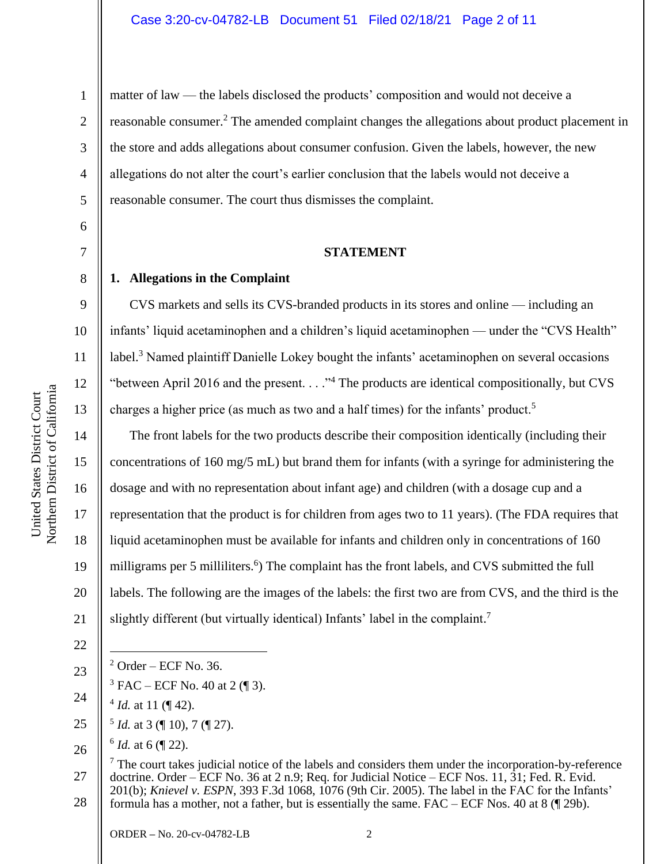1

2

3

4

5

6

7

8

9

10

11

12

13

14

15

17

18

19

matter of law — the labels disclosed the products' composition and would not deceive a reasonable consumer.<sup>2</sup> The amended complaint changes the allegations about product placement in the store and adds allegations about consumer confusion. Given the labels, however, the new allegations do not alter the court's earlier conclusion that the labels would not deceive a reasonable consumer. The court thus dismisses the complaint.

# **STATEMENT**

# **1. Allegations in the Complaint**

CVS markets and sells its CVS-branded products in its stores and online — including an infants' liquid acetaminophen and a children's liquid acetaminophen — under the "CVS Health" label.<sup>3</sup> Named plaintiff Danielle Lokey bought the infants' acetaminophen on several occasions "between April 2016 and the present.  $\ldots$ " The products are identical compositionally, but CVS charges a higher price (as much as two and a half times) for the infants' product.<sup>5</sup>

16 20 The front labels for the two products describe their composition identically (including their concentrations of 160 mg/5 mL) but brand them for infants (with a syringe for administering the dosage and with no representation about infant age) and children (with a dosage cup and a representation that the product is for children from ages two to 11 years). (The FDA requires that liquid acetaminophen must be available for infants and children only in concentrations of 160 milligrams per 5 milliliters.<sup>6</sup>) The complaint has the front labels, and CVS submitted the full labels. The following are the images of the labels: the first two are from CVS, and the third is the slightly different (but virtually identical) Infants' label in the complaint.<sup>7</sup>

22

21

23

24

 $3$  FAC – ECF No. 40 at 2 (¶ 3).

 $2$  Order – ECF No. 36.

- $4$  *Id.* at 11 ( $\sqrt{ }$  42).
- 25  $<sup>5</sup>$  *Id.* at 3 (¶ 10), 7 (¶ 27).</sup>
- 26  $^6$  *Id.* at 6 (¶ 22).

27 28  $<sup>7</sup>$  The court takes judicial notice of the labels and considers them under the incorporation-by-reference</sup> doctrine. Order – ECF No. 36 at 2 n.9; Req. for Judicial Notice – ECF Nos. 11, 31; Fed. R. Evid. 201(b); *Knievel v. ESPN*, 393 F.3d 1068, 1076 (9th Cir. 2005). The label in the FAC for the Infants' formula has a mother, not a father, but is essentially the same. FAC – ECF Nos. 40 at 8 (¶ 29b).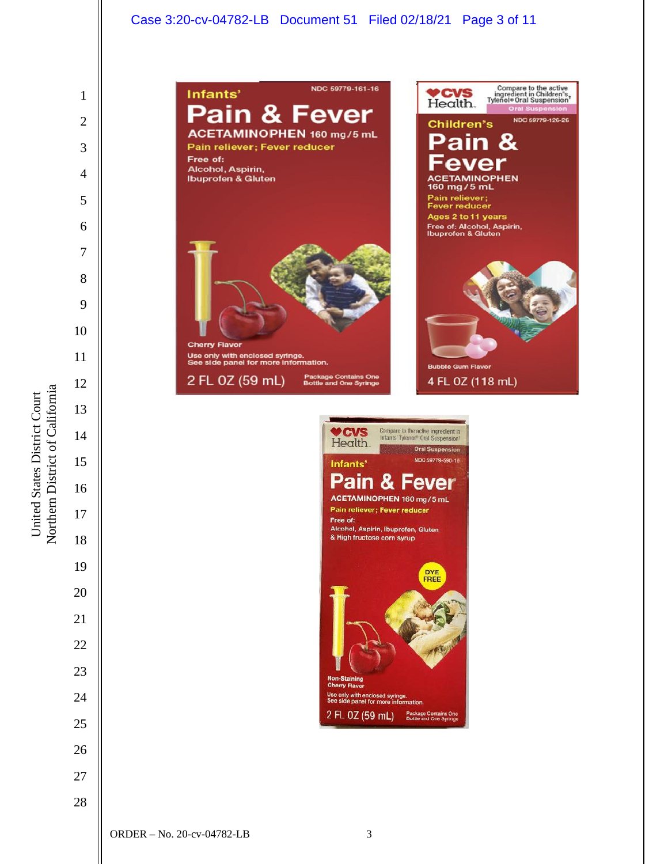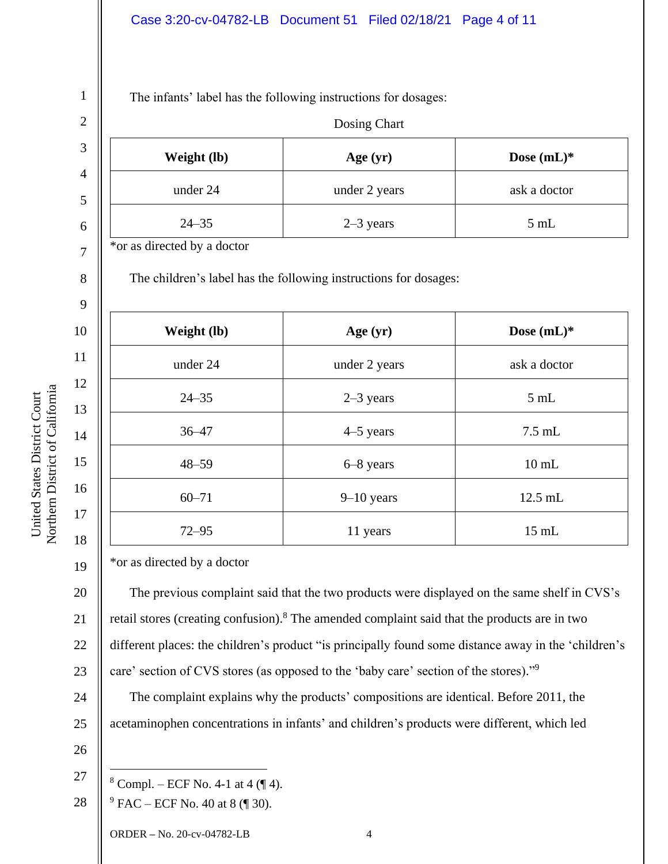# Case 3:20-cv-04782-LB Document 51 Filed 02/18/21 Page 4 of 11

The infants' label has the following instructions for dosages:

| Dosing Chart                |                                                                  |                 |
|-----------------------------|------------------------------------------------------------------|-----------------|
| Weight (lb)                 | Age (yr)                                                         | Dose (mL)*      |
| under 24                    | under 2 years                                                    | ask a doctor    |
| $24 - 35$                   | $2-3$ years                                                      | $5$ mL          |
| *or as directed by a doctor |                                                                  |                 |
|                             | The children's label has the following instructions for dosages: |                 |
| Weight (lb)                 | Age $(yr)$                                                       | Dose $(mL)*$    |
| under 24                    | under 2 years                                                    | ask a doctor    |
| $24 - 35$                   | $2-3$ years                                                      | $5 \mathrm{mL}$ |
| $36 - 47$                   | 4–5 years                                                        | $7.5$ mL        |
| $48 - 59$                   | 6-8 years                                                        | $10$ mL         |
| $60 - 71$                   | $9 - 10$ years                                                   | 12.5 mL         |
| $72 - 95$                   | 11 years                                                         | $15$ mL         |

\*or as directed by a doctor

The previous complaint said that the two products were displayed on the same shelf in CVS's retail stores (creating confusion).<sup>8</sup> The amended complaint said that the products are in two different places: the children's product "is principally found some distance away in the 'children's care' section of CVS stores (as opposed to the 'baby care' section of the stores)."<sup>9</sup>

The complaint explains why the products' compositions are identical. Before 2011, the acetaminophen concentrations in infants' and children's products were different, which led

26

19

United States District Court Northern District of California

Northern District of California United States District Court

20

21

22

23

24

25

1

27  $8$  Compl. – ECF No. 4-1 at 4 ( $\P$  4).

28  $9$  FAC – ECF No. 40 at 8 (¶ 30).

ORDER **–** No. 20-cv-04782-LB 4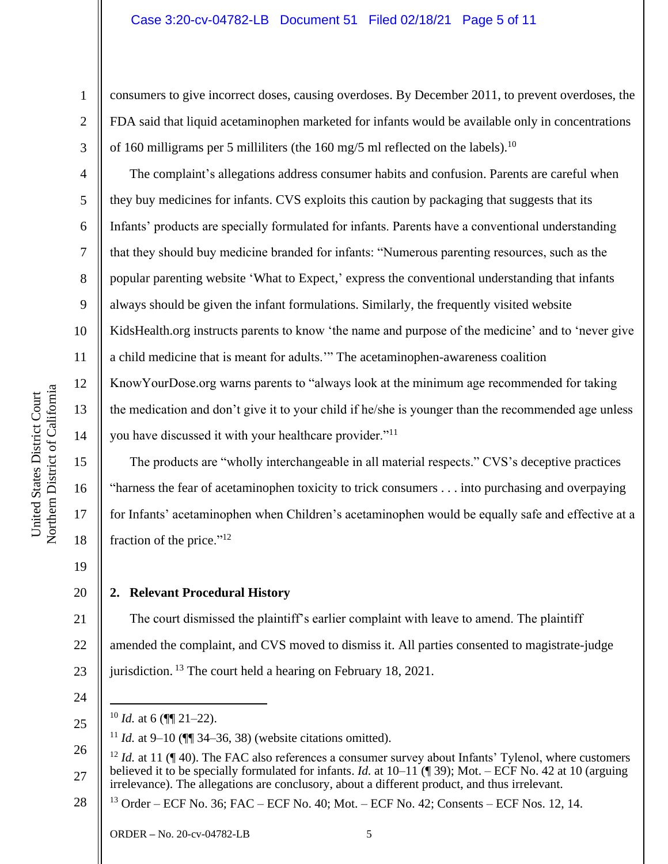## Case 3:20-cv-04782-LB Document 51 Filed 02/18/21 Page 5 of 11

consumers to give incorrect doses, causing overdoses. By December 2011, to prevent overdoses, the FDA said that liquid acetaminophen marketed for infants would be available only in concentrations of 160 milligrams per 5 milliliters (the 160 mg/5 ml reflected on the labels).<sup>10</sup>

The complaint's allegations address consumer habits and confusion. Parents are careful when they buy medicines for infants. CVS exploits this caution by packaging that suggests that its Infants' products are specially formulated for infants. Parents have a conventional understanding that they should buy medicine branded for infants: "Numerous parenting resources, such as the popular parenting website 'What to Expect,' express the conventional understanding that infants always should be given the infant formulations. Similarly, the frequently visited website KidsHealth.org instructs parents to know 'the name and purpose of the medicine' and to 'never give a child medicine that is meant for adults.'" The acetaminophen-awareness coalition KnowYourDose.org warns parents to "always look at the minimum age recommended for taking the medication and don't give it to your child if he/she is younger than the recommended age unless you have discussed it with your healthcare provider."<sup>11</sup>

The products are "wholly interchangeable in all material respects." CVS's deceptive practices "harness the fear of acetaminophen toxicity to trick consumers . . . into purchasing and overpaying for Infants' acetaminophen when Children's acetaminophen would be equally safe and effective at a fraction of the price."<sup>12</sup>

19

1

2

3

4

5

6

7

8

9

10

11

12

13

14

15

16

17

18

20

# **2. Relevant Procedural History**

21 22 23 The court dismissed the plaintiff's earlier complaint with leave to amend. The plaintiff amended the complaint, and CVS moved to dismiss it. All parties consented to magistrate-judge jurisdiction. <sup>13</sup> The court held a hearing on February 18, 2021.

24

25

28 <sup>13</sup> Order – ECF No. 36; FAC – ECF No. 40; Mot. – ECF No. 42; Consents – ECF Nos. 12, 14.

 $10$  *Id.* at 6 ( $\sqrt{11}$  21–22).

<sup>&</sup>lt;sup>11</sup> *Id.* at 9–10 ( $\P$  34–36, 38) (website citations omitted).

<sup>26</sup> 27 <sup>12</sup> *Id.* at 11 (¶ 40). The FAC also references a consumer survey about Infants' Tylenol, where customers believed it to be specially formulated for infants. *Id.* at 10–11 (¶ 39); Mot. – ECF No. 42 at 10 (arguing irrelevance). The allegations are conclusory, about a different product, and thus irrelevant.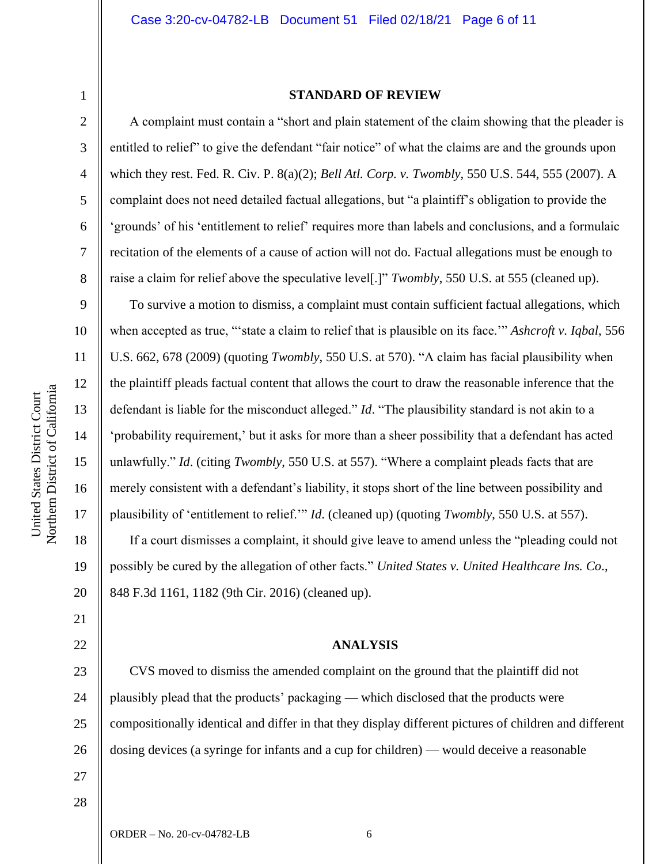5

6

7

8

9

10

11

12

13

14

15

16

17

18

19

20

21

22

23

24

25

26

27

#### **STANDARD OF REVIEW**

A complaint must contain a "short and plain statement of the claim showing that the pleader is entitled to relief" to give the defendant "fair notice" of what the claims are and the grounds upon which they rest. Fed. R. Civ. P. 8(a)(2); *Bell Atl. Corp. v. Twombly*, 550 U.S. 544, 555 (2007). A complaint does not need detailed factual allegations, but "a plaintiff's obligation to provide the 'grounds' of his 'entitlement to relief' requires more than labels and conclusions, and a formulaic recitation of the elements of a cause of action will not do. Factual allegations must be enough to raise a claim for relief above the speculative level[.]" *Twombly*, 550 U.S. at 555 (cleaned up).

To survive a motion to dismiss, a complaint must contain sufficient factual allegations, which when accepted as true, "'state a claim to relief that is plausible on its face.'" *Ashcroft v. Iqbal*, 556 U.S. 662, 678 (2009) (quoting *Twombly*, 550 U.S. at 570). "A claim has facial plausibility when the plaintiff pleads factual content that allows the court to draw the reasonable inference that the defendant is liable for the misconduct alleged." *Id*. "The plausibility standard is not akin to a 'probability requirement,' but it asks for more than a sheer possibility that a defendant has acted unlawfully." *Id*. (citing *Twombly*, 550 U.S. at 557). "Where a complaint pleads facts that are merely consistent with a defendant's liability, it stops short of the line between possibility and plausibility of 'entitlement to relief.'" *Id*. (cleaned up) (quoting *Twombly*, 550 U.S. at 557).

If a court dismisses a complaint, it should give leave to amend unless the "pleading could not possibly be cured by the allegation of other facts." *United States v. United Healthcare Ins. Co*., 848 F.3d 1161, 1182 (9th Cir. 2016) (cleaned up).

#### **ANALYSIS**

CVS moved to dismiss the amended complaint on the ground that the plaintiff did not plausibly plead that the products' packaging — which disclosed that the products were compositionally identical and differ in that they display different pictures of children and different dosing devices (a syringe for infants and a cup for children) — would deceive a reasonable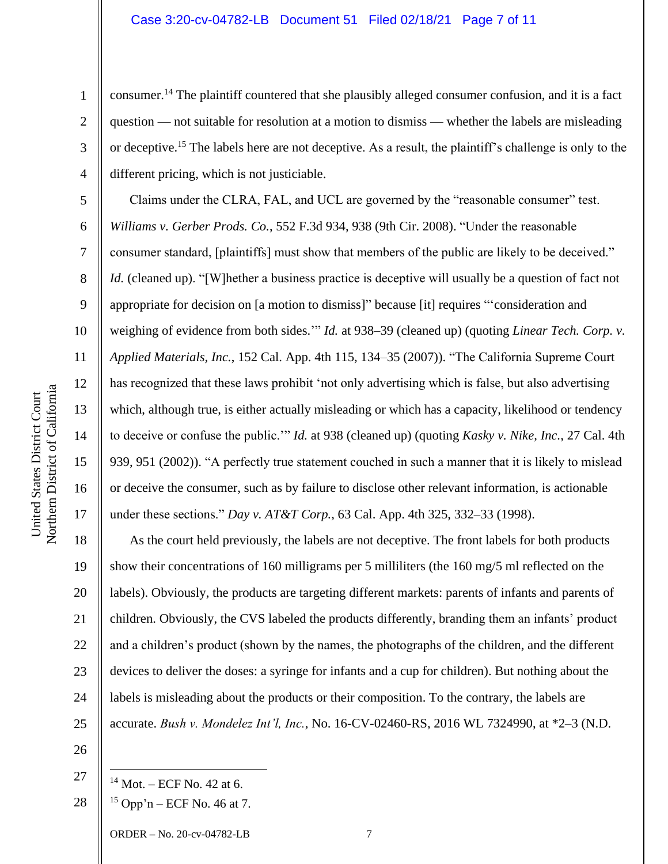consumer.<sup>14</sup> The plaintiff countered that she plausibly alleged consumer confusion, and it is a fact question — not suitable for resolution at a motion to dismiss — whether the labels are misleading or deceptive.<sup>15</sup> The labels here are not deceptive. As a result, the plaintiff's challenge is only to the different pricing, which is not justiciable.

Claims under the CLRA, FAL, and UCL are governed by the "reasonable consumer" test. *Williams v. Gerber Prods. Co.*, 552 F.3d 934, 938 (9th Cir. 2008). "Under the reasonable consumer standard, [plaintiffs] must show that members of the public are likely to be deceived." *Id.* (cleaned up). "[W]hether a business practice is deceptive will usually be a question of fact not appropriate for decision on [a motion to dismiss]" because [it] requires "'consideration and weighing of evidence from both sides.'" *Id.* at 938–39 (cleaned up) (quoting *Linear Tech. Corp. v. Applied Materials, Inc.*, 152 Cal. App. 4th 115, 134–35 (2007)). "The California Supreme Court has recognized that these laws prohibit 'not only advertising which is false, but also advertising which, although true, is either actually misleading or which has a capacity, likelihood or tendency to deceive or confuse the public.'" *Id.* at 938 (cleaned up) (quoting *Kasky v. Nike, Inc.*, 27 Cal. 4th 939, 951 (2002)). "A perfectly true statement couched in such a manner that it is likely to mislead or deceive the consumer, such as by failure to disclose other relevant information, is actionable under these sections." *Day v. AT&T Corp.*, 63 Cal. App. 4th 325, 332–33 (1998).

18 19 20 21 22 23 24 25 As the court held previously, the labels are not deceptive. The front labels for both products show their concentrations of 160 milligrams per 5 milliliters (the 160 mg/5 ml reflected on the labels). Obviously, the products are targeting different markets: parents of infants and parents of children. Obviously, the CVS labeled the products differently, branding them an infants' product and a children's product (shown by the names, the photographs of the children, and the different devices to deliver the doses: a syringe for infants and a cup for children). But nothing about the labels is misleading about the products or their composition. To the contrary, the labels are accurate. *Bush v. Mondelez Int'l, Inc.*, No. 16-CV-02460-RS, 2016 WL 7324990, at \*2–3 (N.D.

26

27

ORDER **–** No. 20-cv-04782-LB 7

1

2

3

4

5

6

7

8

9

10

11

12

13

14

15

16

 $14$  Mot. – ECF No. 42 at 6.

<sup>28</sup>  $15$  Opp'n – ECF No. 46 at 7.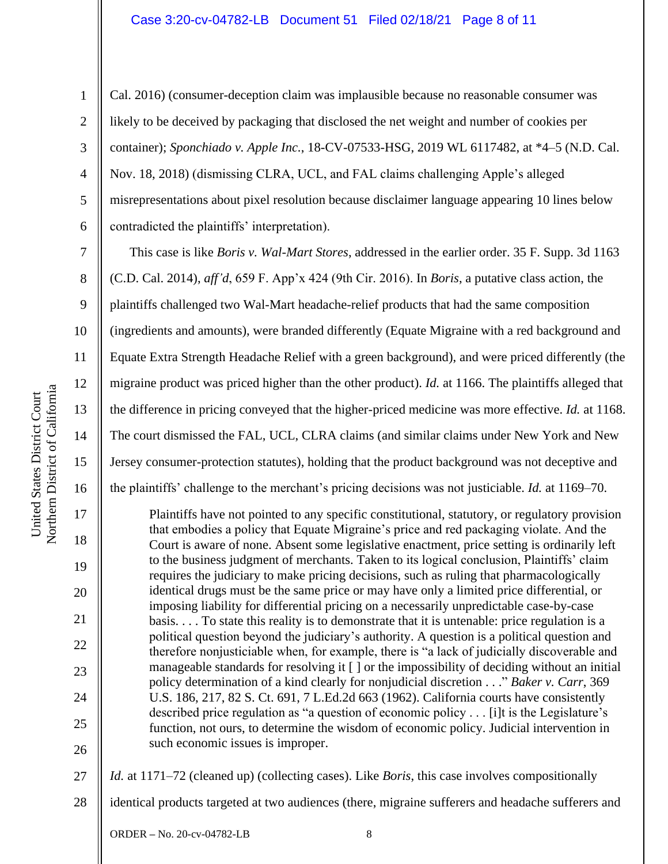1

2

3

4

5

6

7

8

9

10

11

12

13

14

15

16

17

18

19

20

21

22

23

24

25

26

Cal. 2016) (consumer-deception claim was implausible because no reasonable consumer was likely to be deceived by packaging that disclosed the net weight and number of cookies per container); *Sponchiado v. Apple Inc.*, 18-CV-07533-HSG, 2019 WL 6117482, at \*4–5 (N.D. Cal. Nov. 18, 2018) (dismissing CLRA, UCL, and FAL claims challenging Apple's alleged misrepresentations about pixel resolution because disclaimer language appearing 10 lines below contradicted the plaintiffs' interpretation).

This case is like *Boris v. Wal-Mart Stores*, addressed in the earlier order. 35 F. Supp. 3d 1163 (C.D. Cal. 2014), *aff'd*, 659 F. App'x 424 (9th Cir. 2016). In *Boris*, a putative class action, the plaintiffs challenged two Wal-Mart headache-relief products that had the same composition (ingredients and amounts), were branded differently (Equate Migraine with a red background and Equate Extra Strength Headache Relief with a green background), and were priced differently (the migraine product was priced higher than the other product). *Id.* at 1166. The plaintiffs alleged that the difference in pricing conveyed that the higher-priced medicine was more effective. *Id.* at 1168. The court dismissed the FAL, UCL, CLRA claims (and similar claims under New York and New Jersey consumer-protection statutes), holding that the product background was not deceptive and the plaintiffs' challenge to the merchant's pricing decisions was not justiciable. *Id.* at 1169–70.

Plaintiffs have not pointed to any specific constitutional, statutory, or regulatory provision that embodies a policy that Equate Migraine's price and red packaging violate. And the Court is aware of none. Absent some legislative enactment, price setting is ordinarily left to the business judgment of merchants. Taken to its logical conclusion, Plaintiffs' claim requires the judiciary to make pricing decisions, such as ruling that pharmacologically identical drugs must be the same price or may have only a limited price differential, or imposing liability for differential pricing on a necessarily unpredictable case-by-case basis. . . . To state this reality is to demonstrate that it is untenable: price regulation is a political question beyond the judiciary's authority. A question is a political question and therefore nonjusticiable when, for example, there is "a lack of judicially discoverable and manageable standards for resolving it [ ] or the impossibility of deciding without an initial policy determination of a kind clearly for nonjudicial discretion . . ." *Baker v. Carr*, 369 U.S. 186, 217, 82 S. Ct. 691, 7 L.Ed.2d 663 (1962). California courts have consistently described price regulation as "a question of economic policy . . . [i]t is the Legislature's function, not ours, to determine the wisdom of economic policy. Judicial intervention in such economic issues is improper.

27 *Id.* at 1171–72 (cleaned up) (collecting cases). Like *Boris*, this case involves compositionally

28 identical products targeted at two audiences (there, migraine sufferers and headache sufferers and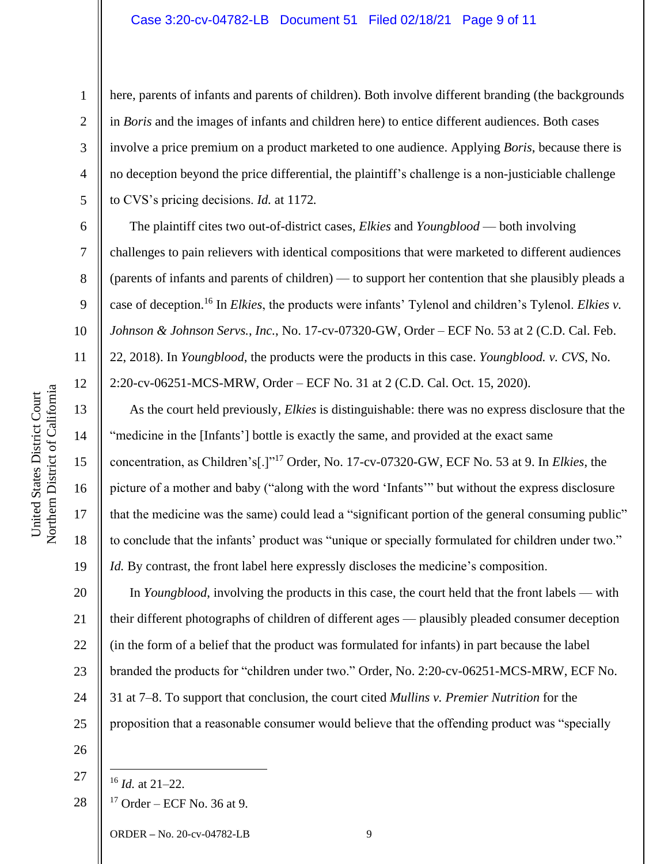## Case 3:20-cv-04782-LB Document 51 Filed 02/18/21 Page 9 of 11

here, parents of infants and parents of children). Both involve different branding (the backgrounds in *Boris* and the images of infants and children here) to entice different audiences. Both cases involve a price premium on a product marketed to one audience. Applying *Boris*, because there is no deception beyond the price differential, the plaintiff's challenge is a non-justiciable challenge to CVS's pricing decisions. *Id.* at 1172*.*

The plaintiff cites two out-of-district cases, *Elkies* and *Youngblood* — both involving challenges to pain relievers with identical compositions that were marketed to different audiences (parents of infants and parents of children) — to support her contention that she plausibly pleads a case of deception.<sup>16</sup> In *Elkies*, the products were infants' Tylenol and children's Tylenol. *Elkies v. Johnson & Johnson Servs.*, *Inc.*, No. 17-cv-07320-GW, Order – ECF No. 53 at 2 (C.D. Cal. Feb. 22, 2018). In *Youngblood*, the products were the products in this case. *Youngblood. v. CVS*, No. 2:20-cv-06251-MCS-MRW, Order – ECF No. 31 at 2 (C.D. Cal. Oct. 15, 2020).

As the court held previously, *Elkies* is distinguishable: there was no express disclosure that the "medicine in the [Infants'] bottle is exactly the same, and provided at the exact same concentration, as Children's[.]"<sup>17</sup> Order, No. 17-cv-07320-GW, ECF No. 53 at 9. In *Elkies*, the picture of a mother and baby ("along with the word 'Infants'" but without the express disclosure that the medicine was the same) could lead a "significant portion of the general consuming public" to conclude that the infants' product was "unique or specially formulated for children under two." *Id.* By contrast, the front label here expressly discloses the medicine's composition.

20 21 22 23 24 25 In *Youngblood*, involving the products in this case, the court held that the front labels — with their different photographs of children of different ages — plausibly pleaded consumer deception (in the form of a belief that the product was formulated for infants) in part because the label branded the products for "children under two." Order, No. 2:20-cv-06251-MCS-MRW, ECF No. 31 at 7–8. To support that conclusion, the court cited *Mullins v. Premier Nutrition* for the proposition that a reasonable consumer would believe that the offending product was "specially

26

27

28  $17$  Order – ECF No. 36 at 9.

ORDER **–** No. 20-cv-04782-LB 9

1

2

3

4

5

6

7

8

9

10

11

12

13

14

15

16

17

18

<sup>16</sup> *Id.* at 21–22.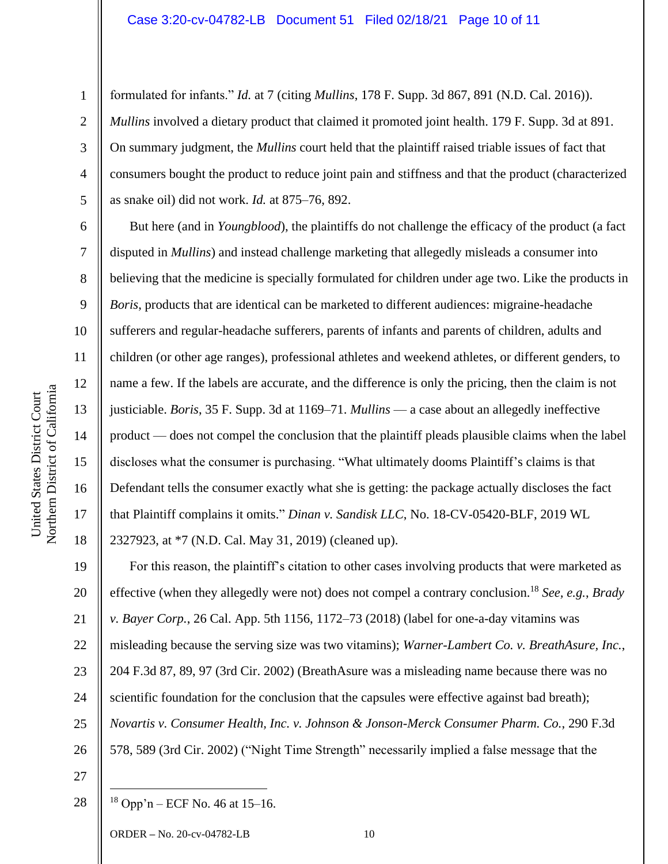# Case 3:20-cv-04782-LB Document 51 Filed 02/18/21 Page 10 of 11

formulated for infants." *Id.* at 7 (citing *Mullins*, 178 F. Supp. 3d 867, 891 (N.D. Cal. 2016)). *Mullins* involved a dietary product that claimed it promoted joint health. 179 F. Supp. 3d at 891. On summary judgment, the *Mullins* court held that the plaintiff raised triable issues of fact that consumers bought the product to reduce joint pain and stiffness and that the product (characterized as snake oil) did not work. *Id.* at 875–76, 892.

But here (and in *Youngblood*), the plaintiffs do not challenge the efficacy of the product (a fact disputed in *Mullins*) and instead challenge marketing that allegedly misleads a consumer into believing that the medicine is specially formulated for children under age two. Like the products in *Boris*, products that are identical can be marketed to different audiences: migraine-headache sufferers and regular-headache sufferers, parents of infants and parents of children, adults and children (or other age ranges), professional athletes and weekend athletes, or different genders, to name a few. If the labels are accurate, and the difference is only the pricing, then the claim is not justiciable. *Boris*, 35 F. Supp. 3d at 1169–71. *Mullins* — a case about an allegedly ineffective product — does not compel the conclusion that the plaintiff pleads plausible claims when the label discloses what the consumer is purchasing. "What ultimately dooms Plaintiff's claims is that Defendant tells the consumer exactly what she is getting: the package actually discloses the fact that Plaintiff complains it omits." *Dinan v. Sandisk LLC*, No. 18-CV-05420-BLF, 2019 WL 2327923, at \*7 (N.D. Cal. May 31, 2019) (cleaned up).

19 20 21 22 23 24 25 26 For this reason, the plaintiff's citation to other cases involving products that were marketed as effective (when they allegedly were not) does not compel a contrary conclusion.<sup>18</sup> *See, e.g.*, *Brady v. Bayer Corp.*, 26 Cal. App. 5th 1156, 1172–73 (2018) (label for one-a-day vitamins was misleading because the serving size was two vitamins); *Warner-Lambert Co. v. BreathAsure, Inc.*, 204 F.3d 87, 89, 97 (3rd Cir. 2002) (BreathAsure was a misleading name because there was no scientific foundation for the conclusion that the capsules were effective against bad breath); *Novartis v. Consumer Health, Inc. v. Johnson & Jonson-Merck Consumer Pharm. Co.*, 290 F.3d 578, 589 (3rd Cir. 2002) ("Night Time Strength" necessarily implied a false message that the

27

28  $18$  Opp'n – ECF No. 46 at 15–16.

ORDER **–** No. 20-cv-04782-LB 10

1

2

3

4

5

6

7

8

9

10

11

12

13

14

15

16

17